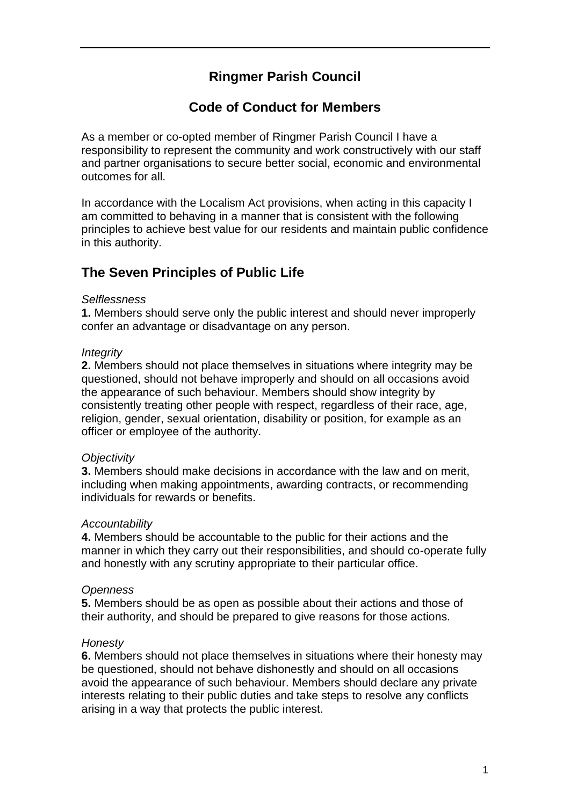# **Ringmer Parish Council**

### **Code of Conduct for Members**

As a member or co-opted member of Ringmer Parish Council I have a responsibility to represent the community and work constructively with our staff and partner organisations to secure better social, economic and environmental outcomes for all.

In accordance with the Localism Act provisions, when acting in this capacity I am committed to behaving in a manner that is consistent with the following principles to achieve best value for our residents and maintain public confidence in this authority.

## **The Seven Principles of Public Life**

#### *Selflessness*

**1.** Members should serve only the public interest and should never improperly confer an advantage or disadvantage on any person.

#### *Integrity*

**2.** Members should not place themselves in situations where integrity may be questioned, should not behave improperly and should on all occasions avoid the appearance of such behaviour. Members should show integrity by consistently treating other people with respect, regardless of their race, age, religion, gender, sexual orientation, disability or position, for example as an officer or employee of the authority.

#### *Objectivity*

**3.** Members should make decisions in accordance with the law and on merit, including when making appointments, awarding contracts, or recommending individuals for rewards or benefits.

#### *Accountability*

**4.** Members should be accountable to the public for their actions and the manner in which they carry out their responsibilities, and should co-operate fully and honestly with any scrutiny appropriate to their particular office.

#### *Openness*

**5.** Members should be as open as possible about their actions and those of their authority, and should be prepared to give reasons for those actions.

#### *Honesty*

**6.** Members should not place themselves in situations where their honesty may be questioned, should not behave dishonestly and should on all occasions avoid the appearance of such behaviour. Members should declare any private interests relating to their public duties and take steps to resolve any conflicts arising in a way that protects the public interest.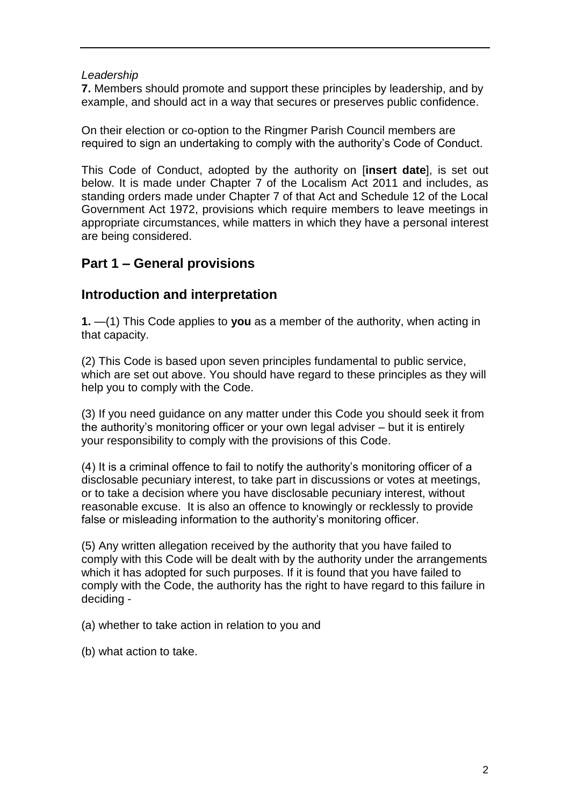#### *Leadership*

**7.** Members should promote and support these principles by leadership, and by example, and should act in a way that secures or preserves public confidence.

On their election or co-option to the Ringmer Parish Council members are required to sign an undertaking to comply with the authority's Code of Conduct.

This Code of Conduct, adopted by the authority on [**insert date**], is set out below. It is made under Chapter 7 of the Localism Act 2011 and includes, as standing orders made under Chapter 7 of that Act and Schedule 12 of the Local Government Act 1972, provisions which require members to leave meetings in appropriate circumstances, while matters in which they have a personal interest are being considered.

## **Part 1 – General provisions**

## **Introduction and interpretation**

**1.** —(1) This Code applies to **you** as a member of the authority, when acting in that capacity.

(2) This Code is based upon seven principles fundamental to public service, which are set out above. You should have regard to these principles as they will help you to comply with the Code.

(3) If you need guidance on any matter under this Code you should seek it from the authority's monitoring officer or your own legal adviser – but it is entirely your responsibility to comply with the provisions of this Code.

(4) It is a criminal offence to fail to notify the authority's monitoring officer of a disclosable pecuniary interest, to take part in discussions or votes at meetings, or to take a decision where you have disclosable pecuniary interest, without reasonable excuse. It is also an offence to knowingly or recklessly to provide false or misleading information to the authority's monitoring officer.

(5) Any written allegation received by the authority that you have failed to comply with this Code will be dealt with by the authority under the arrangements which it has adopted for such purposes. If it is found that you have failed to comply with the Code, the authority has the right to have regard to this failure in deciding -

(a) whether to take action in relation to you and

(b) what action to take.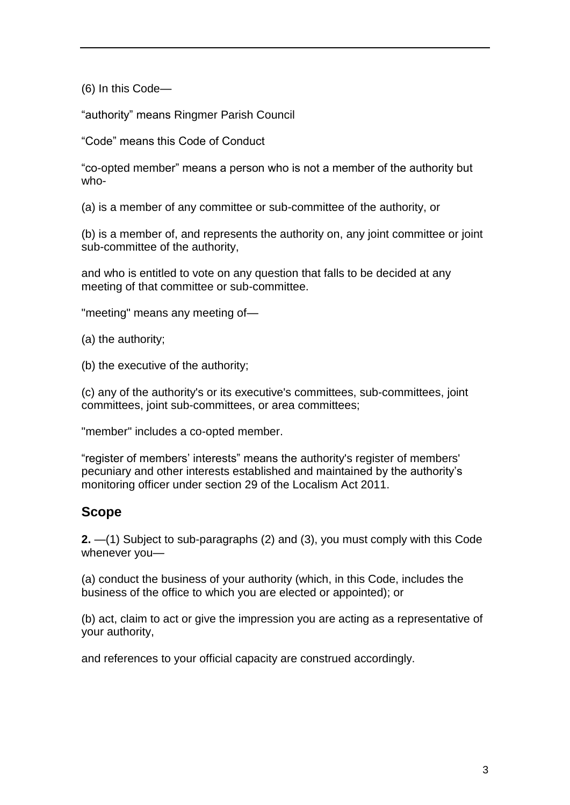(6) In this Code—

"authority" means Ringmer Parish Council

"Code" means this Code of Conduct

"co-opted member" means a person who is not a member of the authority but who-

(a) is a member of any committee or sub-committee of the authority, or

(b) is a member of, and represents the authority on, any joint committee or joint sub-committee of the authority,

and who is entitled to vote on any question that falls to be decided at any meeting of that committee or sub-committee.

"meeting" means any meeting of—

(a) the authority;

(b) the executive of the authority;

(c) any of the authority's or its executive's committees, sub-committees, joint committees, joint sub-committees, or area committees;

"member" includes a co-opted member.

"register of members' interests" means the authority's register of members' pecuniary and other interests established and maintained by the authority's monitoring officer under section 29 of the Localism Act 2011.

## **Scope**

**2.** —(1) Subject to sub-paragraphs (2) and (3), you must comply with this Code whenever you—

(a) conduct the business of your authority (which, in this Code, includes the business of the office to which you are elected or appointed); or

(b) act, claim to act or give the impression you are acting as a representative of your authority,

and references to your official capacity are construed accordingly.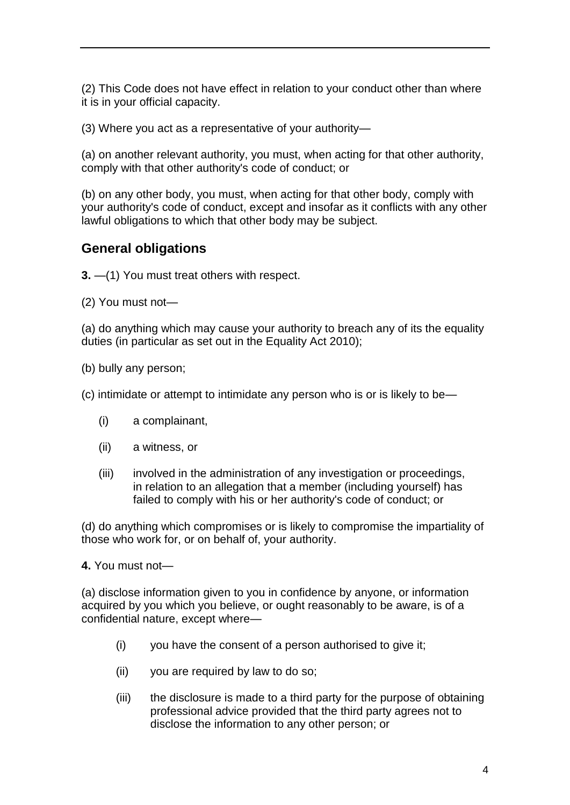(2) This Code does not have effect in relation to your conduct other than where it is in your official capacity.

(3) Where you act as a representative of your authority—

(a) on another relevant authority, you must, when acting for that other authority, comply with that other authority's code of conduct; or

(b) on any other body, you must, when acting for that other body, comply with your authority's code of conduct, except and insofar as it conflicts with any other lawful obligations to which that other body may be subject.

## **General obligations**

**3.** —(1) You must treat others with respect.

(2) You must not—

(a) do anything which may cause your authority to breach any of its the equality duties (in particular as set out in the Equality Act 2010);

(b) bully any person;

(c) intimidate or attempt to intimidate any person who is or is likely to be—

- (i) a complainant,
- (ii) a witness, or
- (iii) involved in the administration of any investigation or proceedings, in relation to an allegation that a member (including yourself) has failed to comply with his or her authority's code of conduct; or

(d) do anything which compromises or is likely to compromise the impartiality of those who work for, or on behalf of, your authority.

**4.** You must not—

(a) disclose information given to you in confidence by anyone, or information acquired by you which you believe, or ought reasonably to be aware, is of a confidential nature, except where—

- (i) you have the consent of a person authorised to give it;
- (ii) you are required by law to do so;
- (iii) the disclosure is made to a third party for the purpose of obtaining professional advice provided that the third party agrees not to disclose the information to any other person; or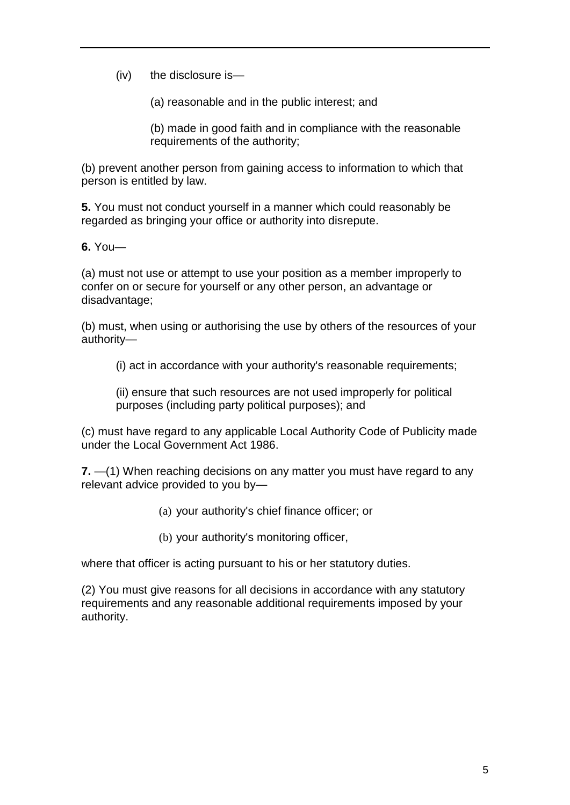(iv) the disclosure is—

(a) reasonable and in the public interest; and

(b) made in good faith and in compliance with the reasonable requirements of the authority;

(b) prevent another person from gaining access to information to which that person is entitled by law.

**5.** You must not conduct yourself in a manner which could reasonably be regarded as bringing your office or authority into disrepute.

**6.** You—

(a) must not use or attempt to use your position as a member improperly to confer on or secure for yourself or any other person, an advantage or disadvantage;

(b) must, when using or authorising the use by others of the resources of your authority—

(i) act in accordance with your authority's reasonable requirements;

(ii) ensure that such resources are not used improperly for political purposes (including party political purposes); and

(c) must have regard to any applicable Local Authority Code of Publicity made under the Local Government Act 1986.

**7.** —(1) When reaching decisions on any matter you must have regard to any relevant advice provided to you by—

- (a) your authority's chief finance officer; or
- (b) your authority's monitoring officer,

where that officer is acting pursuant to his or her statutory duties.

(2) You must give reasons for all decisions in accordance with any statutory requirements and any reasonable additional requirements imposed by your authority.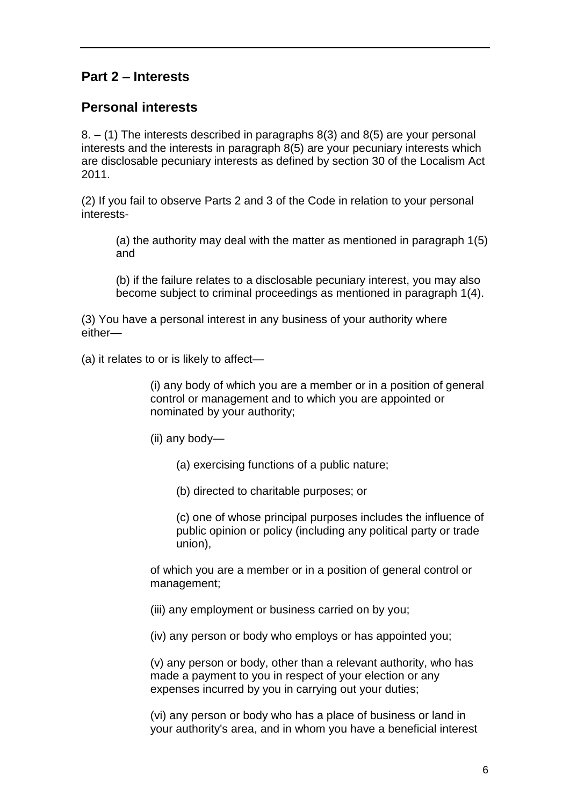# **Part 2 – Interests**

### **Personal interests**

8. – (1) The interests described in paragraphs 8(3) and 8(5) are your personal interests and the interests in paragraph 8(5) are your pecuniary interests which are disclosable pecuniary interests as defined by section 30 of the Localism Act 2011.

(2) If you fail to observe Parts 2 and 3 of the Code in relation to your personal interests-

(a) the authority may deal with the matter as mentioned in paragraph 1(5) and

(b) if the failure relates to a disclosable pecuniary interest, you may also become subject to criminal proceedings as mentioned in paragraph 1(4).

(3) You have a personal interest in any business of your authority where either—

(a) it relates to or is likely to affect—

(i) any body of which you are a member or in a position of general control or management and to which you are appointed or nominated by your authority;

(ii) any body—

- (a) exercising functions of a public nature;
- (b) directed to charitable purposes; or

(c) one of whose principal purposes includes the influence of public opinion or policy (including any political party or trade union),

of which you are a member or in a position of general control or management;

(iii) any employment or business carried on by you;

(iv) any person or body who employs or has appointed you;

(v) any person or body, other than a relevant authority, who has made a payment to you in respect of your election or any expenses incurred by you in carrying out your duties;

(vi) any person or body who has a place of business or land in your authority's area, and in whom you have a beneficial interest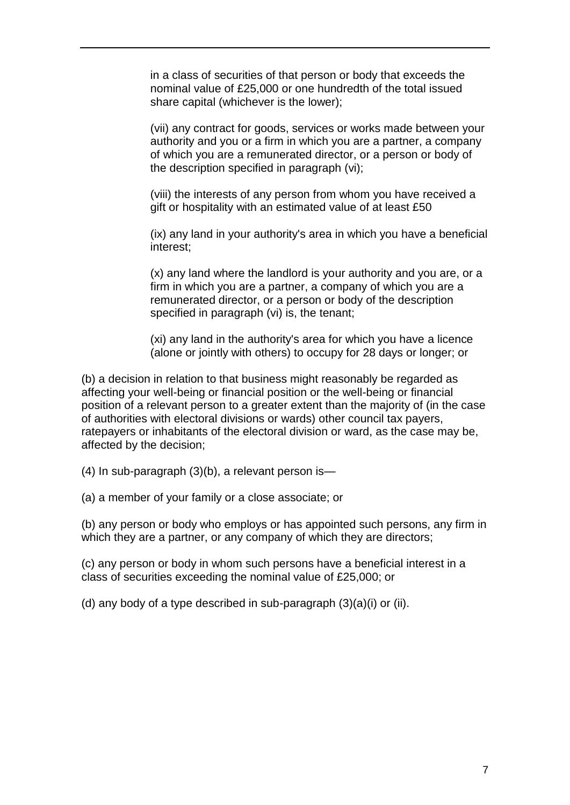in a class of securities of that person or body that exceeds the nominal value of £25,000 or one hundredth of the total issued share capital (whichever is the lower);

(vii) any contract for goods, services or works made between your authority and you or a firm in which you are a partner, a company of which you are a remunerated director, or a person or body of the description specified in paragraph (vi);

(viii) the interests of any person from whom you have received a gift or hospitality with an estimated value of at least £50

(ix) any land in your authority's area in which you have a beneficial interest;

(x) any land where the landlord is your authority and you are, or a firm in which you are a partner, a company of which you are a remunerated director, or a person or body of the description specified in paragraph (vi) is, the tenant;

(xi) any land in the authority's area for which you have a licence (alone or jointly with others) to occupy for 28 days or longer; or

(b) a decision in relation to that business might reasonably be regarded as affecting your well-being or financial position or the well-being or financial position of a relevant person to a greater extent than the majority of (in the case of authorities with electoral divisions or wards) other council tax payers, ratepayers or inhabitants of the electoral division or ward, as the case may be, affected by the decision;

(4) In sub-paragraph (3)(b), a relevant person is—

(a) a member of your family or a close associate; or

(b) any person or body who employs or has appointed such persons, any firm in which they are a partner, or any company of which they are directors;

(c) any person or body in whom such persons have a beneficial interest in a class of securities exceeding the nominal value of £25,000; or

(d) any body of a type described in sub-paragraph (3)(a)(i) or (ii).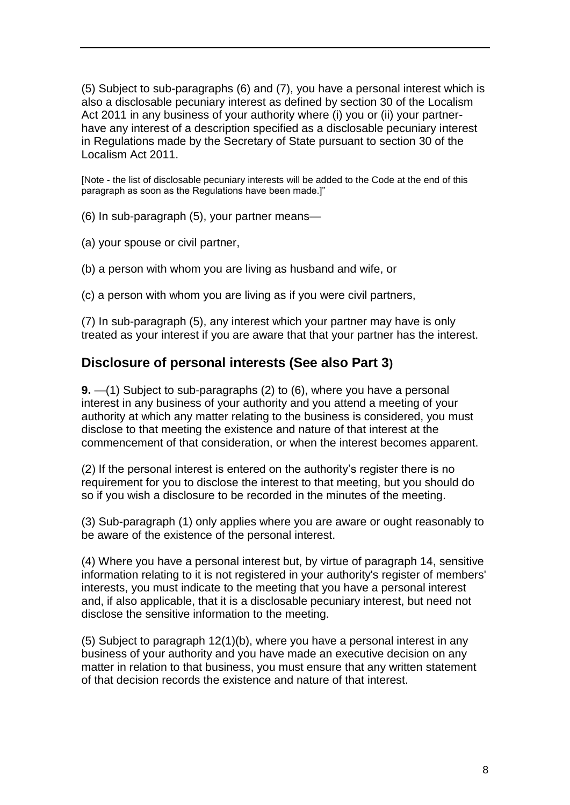(5) Subject to sub-paragraphs (6) and (7), you have a personal interest which is also a disclosable pecuniary interest as defined by section 30 of the Localism Act 2011 in any business of your authority where (i) you or (ii) your partnerhave any interest of a description specified as a disclosable pecuniary interest in Regulations made by the Secretary of State pursuant to section 30 of the Localism Act 2011.

[Note - the list of disclosable pecuniary interests will be added to the Code at the end of this paragraph as soon as the Regulations have been made.]"

(6) In sub-paragraph (5), your partner means—

(a) your spouse or civil partner,

(b) a person with whom you are living as husband and wife, or

(c) a person with whom you are living as if you were civil partners,

(7) In sub-paragraph (5), any interest which your partner may have is only treated as your interest if you are aware that that your partner has the interest.

### **Disclosure of personal interests (See also Part 3)**

**9.** —(1) Subject to sub-paragraphs (2) to (6), where you have a personal interest in any business of your authority and you attend a meeting of your authority at which any matter relating to the business is considered, you must disclose to that meeting the existence and nature of that interest at the commencement of that consideration, or when the interest becomes apparent.

(2) If the personal interest is entered on the authority's register there is no requirement for you to disclose the interest to that meeting, but you should do so if you wish a disclosure to be recorded in the minutes of the meeting.

(3) Sub-paragraph (1) only applies where you are aware or ought reasonably to be aware of the existence of the personal interest.

(4) Where you have a personal interest but, by virtue of paragraph 14, sensitive information relating to it is not registered in your authority's register of members' interests, you must indicate to the meeting that you have a personal interest and, if also applicable, that it is a disclosable pecuniary interest, but need not disclose the sensitive information to the meeting.

(5) Subject to paragraph 12(1)(b), where you have a personal interest in any business of your authority and you have made an executive decision on any matter in relation to that business, you must ensure that any written statement of that decision records the existence and nature of that interest.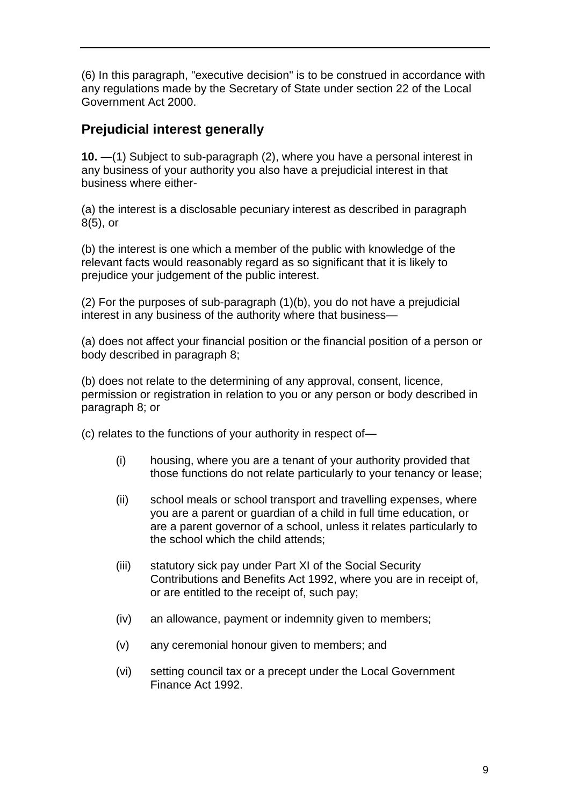(6) In this paragraph, "executive decision" is to be construed in accordance with any regulations made by the Secretary of State under section 22 of the Local Government Act 2000.

# **Prejudicial interest generally**

**10.** —(1) Subject to sub-paragraph (2), where you have a personal interest in any business of your authority you also have a prejudicial interest in that business where either-

(a) the interest is a disclosable pecuniary interest as described in paragraph 8(5), or

(b) the interest is one which a member of the public with knowledge of the relevant facts would reasonably regard as so significant that it is likely to prejudice your judgement of the public interest.

(2) For the purposes of sub-paragraph (1)(b), you do not have a prejudicial interest in any business of the authority where that business—

(a) does not affect your financial position or the financial position of a person or body described in paragraph 8;

(b) does not relate to the determining of any approval, consent, licence, permission or registration in relation to you or any person or body described in paragraph 8; or

(c) relates to the functions of your authority in respect of—

- (i) housing, where you are a tenant of your authority provided that those functions do not relate particularly to your tenancy or lease;
- (ii) school meals or school transport and travelling expenses, where you are a parent or guardian of a child in full time education, or are a parent governor of a school, unless it relates particularly to the school which the child attends;
- (iii) statutory sick pay under Part XI of the Social Security Contributions and Benefits Act 1992, where you are in receipt of, or are entitled to the receipt of, such pay;
- (iv) an allowance, payment or indemnity given to members;
- (v) any ceremonial honour given to members; and
- (vi) setting council tax or a precept under the Local Government Finance Act 1992.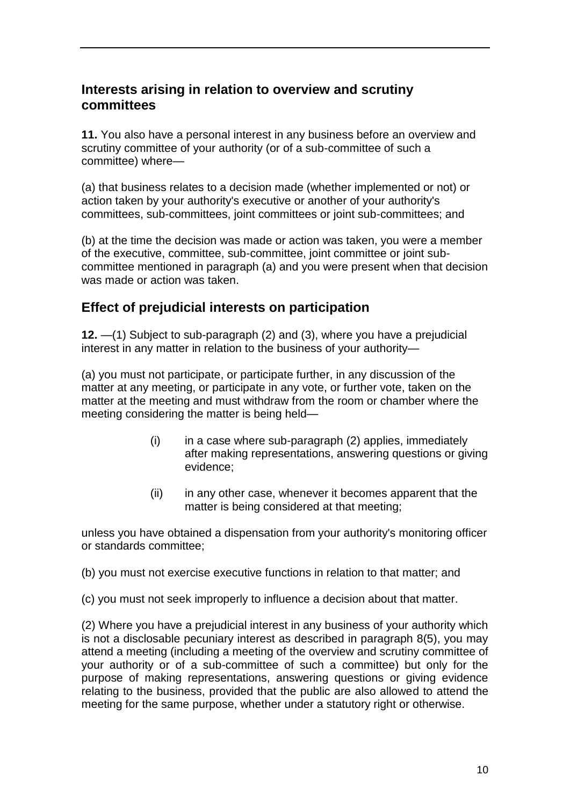### **Interests arising in relation to overview and scrutiny committees**

**11.** You also have a personal interest in any business before an overview and scrutiny committee of your authority (or of a sub-committee of such a committee) where—

(a) that business relates to a decision made (whether implemented or not) or action taken by your authority's executive or another of your authority's committees, sub-committees, joint committees or joint sub-committees; and

(b) at the time the decision was made or action was taken, you were a member of the executive, committee, sub-committee, joint committee or joint subcommittee mentioned in paragraph (a) and you were present when that decision was made or action was taken.

## **Effect of prejudicial interests on participation**

**12.** —(1) Subject to sub-paragraph (2) and (3), where you have a prejudicial interest in any matter in relation to the business of your authority—

(a) you must not participate, or participate further, in any discussion of the matter at any meeting, or participate in any vote, or further vote, taken on the matter at the meeting and must withdraw from the room or chamber where the meeting considering the matter is being held—

- $(i)$  in a case where sub-paragraph  $(2)$  applies, immediately after making representations, answering questions or giving evidence;
- (ii) in any other case, whenever it becomes apparent that the matter is being considered at that meeting;

unless you have obtained a dispensation from your authority's monitoring officer or standards committee;

(b) you must not exercise executive functions in relation to that matter; and

(c) you must not seek improperly to influence a decision about that matter.

(2) Where you have a prejudicial interest in any business of your authority which is not a disclosable pecuniary interest as described in paragraph 8(5), you may attend a meeting (including a meeting of the overview and scrutiny committee of your authority or of a sub-committee of such a committee) but only for the purpose of making representations, answering questions or giving evidence relating to the business, provided that the public are also allowed to attend the meeting for the same purpose, whether under a statutory right or otherwise.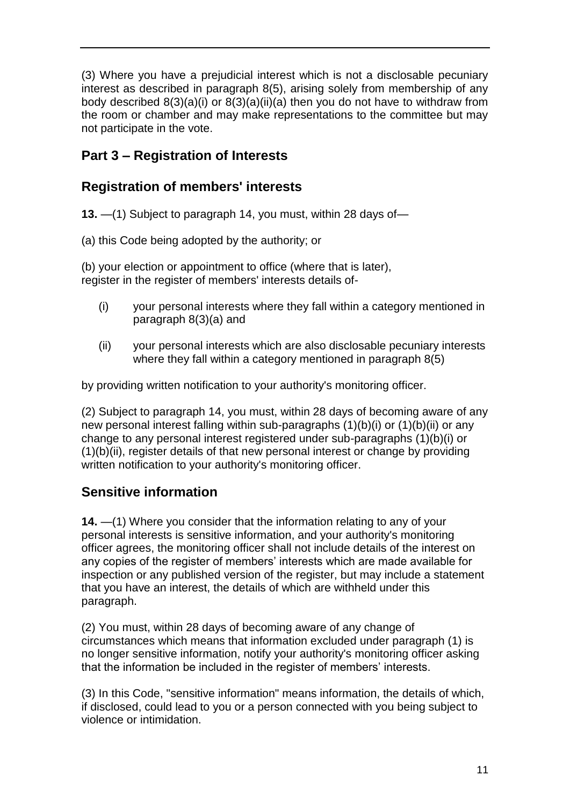(3) Where you have a prejudicial interest which is not a disclosable pecuniary interest as described in paragraph 8(5), arising solely from membership of any body described 8(3)(a)(i) or 8(3)(a)(ii)(a) then you do not have to withdraw from the room or chamber and may make representations to the committee but may not participate in the vote.

# **Part 3 – Registration of Interests**

# **Registration of members' interests**

**13.** —(1) Subject to paragraph 14, you must, within 28 days of—

(a) this Code being adopted by the authority; or

(b) your election or appointment to office (where that is later), register in the register of members' interests details of-

- (i) your personal interests where they fall within a category mentioned in paragraph 8(3)(a) and
- (ii) your personal interests which are also disclosable pecuniary interests where they fall within a category mentioned in paragraph 8(5)

by providing written notification to your authority's monitoring officer.

(2) Subject to paragraph 14, you must, within 28 days of becoming aware of any new personal interest falling within sub-paragraphs (1)(b)(i) or (1)(b)(ii) or any change to any personal interest registered under sub-paragraphs (1)(b)(i) or (1)(b)(ii), register details of that new personal interest or change by providing written notification to your authority's monitoring officer.

# **Sensitive information**

**14.** —(1) Where you consider that the information relating to any of your personal interests is sensitive information, and your authority's monitoring officer agrees, the monitoring officer shall not include details of the interest on any copies of the register of members' interests which are made available for inspection or any published version of the register, but may include a statement that you have an interest, the details of which are withheld under this paragraph.

(2) You must, within 28 days of becoming aware of any change of circumstances which means that information excluded under paragraph (1) is no longer sensitive information, notify your authority's monitoring officer asking that the information be included in the register of members' interests.

(3) In this Code, "sensitive information" means information, the details of which, if disclosed, could lead to you or a person connected with you being subject to violence or intimidation.